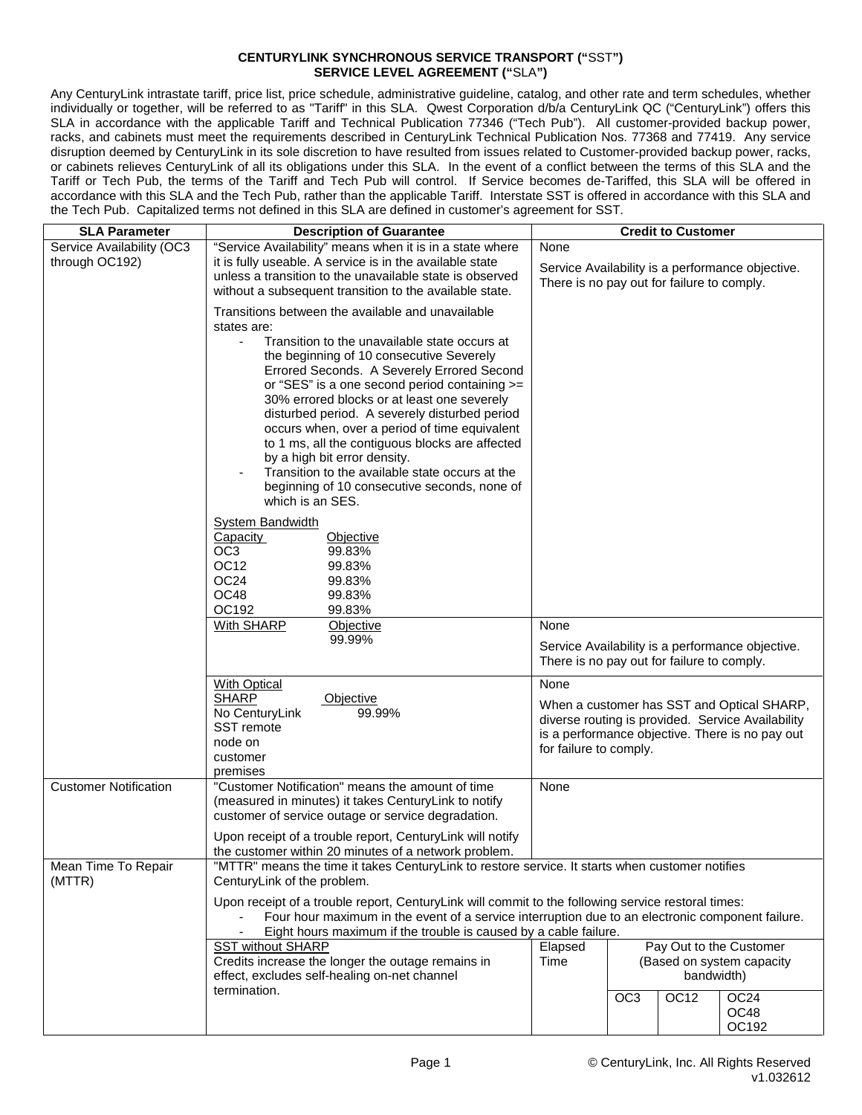## **CENTURYLINK SYNCHRONOUS SERVICE TRANSPORT ("**SST**") SERVICE LEVEL AGREEMENT ("**SLA**")**

Any CenturyLink intrastate tariff, price list, price schedule, administrative guideline, catalog, and other rate and term schedules, whether individually or together, will be referred to as "Tariff" in this SLA. Qwest Corporation d/b/a CenturyLink QC ("CenturyLink") offers this SLA in accordance with the applicable Tariff and Technical Publication 77346 ("Tech Pub"). All customer-provided backup power, racks, and cabinets must meet the requirements described in CenturyLink Technical Publication Nos. 77368 and 77419. Any service disruption deemed by CenturyLink in its sole discretion to have resulted from issues related to Customer-provided backup power, racks, or cabinets relieves CenturyLink of all its obligations under this SLA. In the event of a conflict between the terms of this SLA and the Tariff or Tech Pub, the terms of the Tariff and Tech Pub will control. If Service becomes de-Tariffed, this SLA will be offered in accordance with this SLA and the Tech Pub, rather than the applicable Tariff. Interstate SST is offered in accordance with this SLA and the Tech Pub. Capitalized terms not defined in this SLA are defined in customer's agreement for SST.

| <b>SLA Parameter</b>                        | <b>Description of Guarantee</b>                                                                                                                                                                                                                                                                                                                                                                                                                                                                                                                                                                                                                     |                                                                                                        | <b>Credit to Customer</b>                                                                                                                                                    |                  |                                   |  |  |  |
|---------------------------------------------|-----------------------------------------------------------------------------------------------------------------------------------------------------------------------------------------------------------------------------------------------------------------------------------------------------------------------------------------------------------------------------------------------------------------------------------------------------------------------------------------------------------------------------------------------------------------------------------------------------------------------------------------------------|--------------------------------------------------------------------------------------------------------|------------------------------------------------------------------------------------------------------------------------------------------------------------------------------|------------------|-----------------------------------|--|--|--|
| Service Availability (OC3<br>through OC192) | "Service Availability" means when it is in a state where<br>it is fully useable. A service is in the available state<br>unless a transition to the unavailable state is observed<br>without a subsequent transition to the available state.                                                                                                                                                                                                                                                                                                                                                                                                         | None                                                                                                   | Service Availability is a performance objective.<br>There is no pay out for failure to comply.                                                                               |                  |                                   |  |  |  |
|                                             | Transitions between the available and unavailable<br>states are:<br>Transition to the unavailable state occurs at<br>$\overline{\phantom{a}}$<br>the beginning of 10 consecutive Severely<br>Errored Seconds. A Severely Errored Second<br>or "SES" is a one second period containing >=<br>30% errored blocks or at least one severely<br>disturbed period. A severely disturbed period<br>occurs when, over a period of time equivalent<br>to 1 ms, all the contiguous blocks are affected<br>by a high bit error density.<br>Transition to the available state occurs at the<br>beginning of 10 consecutive seconds, none of<br>which is an SES. |                                                                                                        |                                                                                                                                                                              |                  |                                   |  |  |  |
|                                             | <b>System Bandwidth</b><br>Capacity<br>Objective<br>99.83%<br>OC3<br>OC <sub>12</sub><br>99.83%<br>OC <sub>24</sub><br>99.83%<br>OC48<br>99.83%<br>OC192<br>99.83%                                                                                                                                                                                                                                                                                                                                                                                                                                                                                  |                                                                                                        |                                                                                                                                                                              |                  |                                   |  |  |  |
|                                             | With SHARP<br>Objective<br>99.99%                                                                                                                                                                                                                                                                                                                                                                                                                                                                                                                                                                                                                   | None<br>Service Availability is a performance objective.<br>There is no pay out for failure to comply. |                                                                                                                                                                              |                  |                                   |  |  |  |
|                                             | <b>With Optical</b><br><b>SHARP</b><br>Objective<br>No CenturyLink<br>99.99%<br>SST remote<br>node on<br>customer<br>premises                                                                                                                                                                                                                                                                                                                                                                                                                                                                                                                       | None                                                                                                   | When a customer has SST and Optical SHARP,<br>diverse routing is provided. Service Availability<br>is a performance objective. There is no pay out<br>for failure to comply. |                  |                                   |  |  |  |
| <b>Customer Notification</b>                | "Customer Notification" means the amount of time<br>(measured in minutes) it takes CenturyLink to notify<br>customer of service outage or service degradation.<br>Upon receipt of a trouble report, CenturyLink will notify<br>the customer within 20 minutes of a network problem.                                                                                                                                                                                                                                                                                                                                                                 | None                                                                                                   |                                                                                                                                                                              |                  |                                   |  |  |  |
| Mean Time To Repair<br>(MTTR)               | "MTTR" means the time it takes CenturyLink to restore service. It starts when customer notifies<br>CenturyLink of the problem.<br>Upon receipt of a trouble report, CenturyLink will commit to the following service restoral times:<br>Eight hours maximum if the trouble is caused by a cable failure.                                                                                                                                                                                                                                                                                                                                            | Four hour maximum in the event of a service interruption due to an electronic component failure.       |                                                                                                                                                                              |                  |                                   |  |  |  |
|                                             | <b>SST without SHARP</b><br>Credits increase the longer the outage remains in<br>effect, excludes self-healing on-net channel<br>termination.                                                                                                                                                                                                                                                                                                                                                                                                                                                                                                       | Elapsed<br>Time                                                                                        | Pay Out to the Customer<br>(Based on system capacity<br>bandwidth)                                                                                                           |                  |                                   |  |  |  |
|                                             |                                                                                                                                                                                                                                                                                                                                                                                                                                                                                                                                                                                                                                                     |                                                                                                        | OC <sub>3</sub>                                                                                                                                                              | OC <sub>12</sub> | OC <sub>24</sub><br>OC48<br>OC192 |  |  |  |